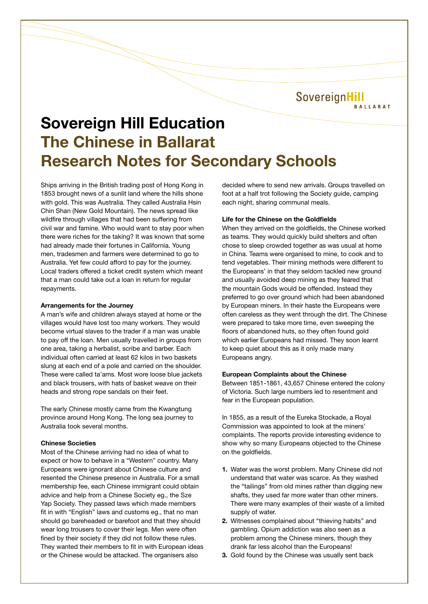SovereignHill **BALLARAT** 

# **Sovereign Hill Education The Chinese in Ballarat Research Notes for Secondary Schools**

Ships arriving in the British trading post of Hong Kong in 1853 brought news of a sunlit land where the hills shone with gold. This was Australia. They called Australia Hsin Chin Shan (New Gold Mountain). The news spread like wildfire through villages that had been suffering from civil war and famine. Who would want to stay poor when there were riches for the taking? It was known that some had already made their fortunes in California. Young men, tradesmen and farmers were determined to go to Australia. Yet few could afford to pay for the journey. Local traders offered a ticket credit system which meant that a man could take out a loan in return for regular repayments.

# **Arrangements for the Journey**

A man's wife and children always stayed at home or the villages would have lost too many workers. They would become virtual slaves to the trader if a man was unable to pay off the loan. Men usually travelled in groups from one area, taking a herbalist, scribe and barber. Each individual often carried at least 62 kilos in two baskets slung at each end of a pole and carried on the shoulder. These were called ta'ams. Most wore loose blue jackets and black trousers, with hats of basket weave on their heads and strong rope sandals on their feet.

The early Chinese mostly came from the Kwangtung province around Hong Kong. The long sea journey to Australia took several months.

# **Chinese Societies**

Most of the Chinese arriving had no idea of what to expect or how to behave in a "Western" country. Many Europeans were ignorant about Chinese culture and resented the Chinese presence in Australia. For a small membership fee, each Chinese immigrant could obtain advice and help from a Chinese Society eg., the Sze Yap Society. They passed laws which made members fit in with "English" laws and customs eg., that no man should go bareheaded or barefoot and that they should wear long trousers to cover their legs. Men were often fined by their society if they did not follow these rules. They wanted their members to fit in with European ideas or the Chinese would be attacked. The organisers also

decided where to send new arrivals. Groups travelled on foot at a half trot following the Society guide, camping each night, sharing communal meals.

# **Life for the Chinese on the Goldfields**

When they arrived on the goldfields, the Chinese worked as teams. They would quickly build shelters and often chose to sleep crowded together as was usual at home in China. Teams were organised to mine, to cook and to tend vegetables. Their mining methods were different to the Europeans' in that they seldom tackled new ground and usually avoided deep mining as they feared that the mountain Gods would be offended. Instead they preferred to go over ground which had been abandoned by European miners. In their haste the Europeans were often careless as they went through the dirt. The Chinese were prepared to take more time, even sweeping the floors of abandoned huts, so they often found gold which earlier Europeans had missed. They soon learnt to keep quiet about this as it only made many Europeans angry.

#### **European Complaints about the Chinese**

Between 1851-1861, 43,657 Chinese entered the colony of Victoria. Such large numbers led to resentment and fear in the European population.

In 1855, as a result of the Eureka Stockade, a Royal Commission was appointed to look at the miners' complaints. The reports provide interesting evidence to show why so many Europeans objected to the Chinese on the goldfields.

- **1.** Water was the worst problem. Many Chinese did not understand that water was scarce. As they washed the "tailings" from old mines rather than digging new shafts, they used far more water than other miners. There were many examples of their waste of a limited supply of water.
- **2.** Witnesses complained about "thieving habits" and gambling. Opium addiction was also seen as a problem among the Chinese miners, though they drank far less alcohol than the Europeans!
- **3.** Gold found by the Chinese was usually sent back